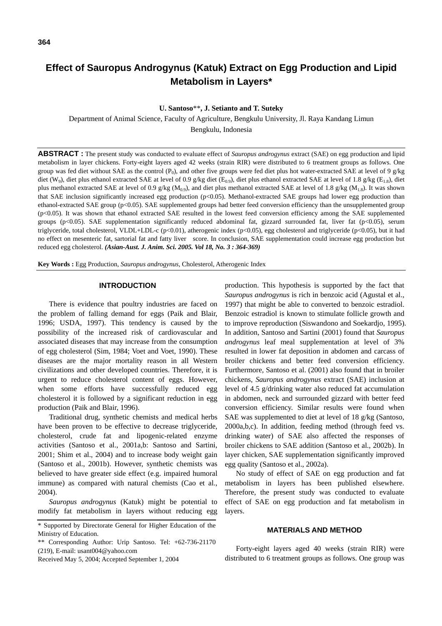# **Effect of Sauropus Androgynus (Katuk) Extract on Egg Production and Lipid Metabolism in Layers\***

**U. Santoso**\*\***, J. Setianto and T. Suteky** 

Department of Animal Science, Faculty of Agriculture, Bengkulu University, Jl. Raya Kandang Limun Bengkulu, Indonesia

**ABSTRACT :** The present study was conducted to evaluate effect of *Sauropus androgynus* extract (SAE) on egg production and lipid metabolism in layer chickens. Forty-eight layers aged 42 weeks (strain RIR) were distributed to 6 treatment groups as follows. One group was fed diet without SAE as the control ( $P_0$ ), and other five groups were fed diet plus hot water-extracted SAE at level of 9 g/kg diet (W<sub>9</sub>), diet plus ethanol extracted SAE at level of 0.9 g/kg diet (E<sub>0.9</sub>), diet plus ethanol extracted SAE at level of 1.8 g/kg (E<sub>1.8</sub>), diet plus methanol extracted SAE at level of 0.9 g/kg ( $M_{0.9}$ ), and diet plus methanol extracted SAE at level of 1.8 g/kg ( $M_{1.8}$ ). It was shown that SAE inclusion significantly increased egg production (p<0.05). Methanol-extracted SAE groups had lower egg production than ethanol-extracted SAE group (p<0.05). SAE supplemented groups had better feed conversion efficiency than the unsupplemented group (p<0.05). It was shown that ethanol extracted SAE resulted in the lowest feed conversion efficiency among the SAE supplemented groups ( $p<0.05$ ). SAE supplementation significantly reduced abdominal fat, gizzard surrounded fat, liver fat ( $p<0.05$ ), serum triglyceride, total cholesterol, VLDL+LDL-c (p<0.01), atherogenic index (p<0.05), egg cholesterol and triglyceride (p<0.05), but it had no effect on mesenteric fat, sartorial fat and fatty liver score. In conclusion, SAE supplementation could increase egg production but reduced egg cholesterol. *(Asian-Aust. J. Anim. Sci. 2005. Vol 18, No. 3 : 364-369)*

**Key Words :** Egg Production, *Sauropus androgynus*, Cholesterol, Atherogenic Index

#### **INTRODUCTION**

There is evidence that poultry industries are faced on the problem of falling demand for eggs (Paik and Blair, 1996; USDA, 1997). This tendency is caused by the possibility of the increased risk of cardiovascular and associated diseases that may increase from the consumption of egg cholesterol (Sim, 1984; Voet and Voet, 1990). These diseases are the major mortality reason in all Western civilizations and other developed countries. Therefore, it is urgent to reduce cholesterol content of eggs. However, when some efforts have successfully reduced egg cholesterol it is followed by a significant reduction in egg production (Paik and Blair, 1996).

Traditional drug, synthetic chemists and medical herbs have been proven to be effective to decrease triglyceride, cholesterol, crude fat and lipogenic-related enzyme activities (Santoso et al., 2001a,b: Santoso and Sartini, 2001; Shim et al., 2004) and to increase body weight gain (Santoso et al., 2001b). However, synthetic chemists was believed to have greater side effect (e.g. impaired humoral immune) as compared with natural chemists (Cao et al., 2004).

*Sauropus androgynus* (Katuk) might be potential to modify fat metabolism in layers without reducing egg

production. This hypothesis is supported by the fact that *Sauropus androgynus* is rich in benzoic acid (Agustal et al., 1997) that might be able to converted to benzoic estradiol. Benzoic estradiol is known to stimulate follicle growth and to improve reproduction (Siswandono and Soekardjo, 1995). In addition, Santoso and Sartini (2001) found that *Sauropus androgynus* leaf meal supplementation at level of 3% resulted in lower fat deposition in abdomen and carcass of broiler chickens and better feed conversion efficiency. Furthermore, Santoso et al. (2001) also found that in broiler chickens, *Sauropus androgynus* extract (SAE) inclusion at level of 4.5 g/drinking water also reduced fat accumulation in abdomen, neck and surrounded gizzard with better feed conversion efficiency. Similar results were found when SAE was supplemented to diet at level of 18 g/kg (Santoso, 2000a,b,c). In addition, feeding method (through feed vs. drinking water) of SAE also affected the responses of broiler chickens to SAE addition (Santoso et al., 2002b). In layer chicken, SAE supplementation significantly improved egg quality (Santoso et al., 2002a).

No study of effect of SAE on egg production and fat metabolism in layers has been published elsewhere. Therefore, the present study was conducted to evaluate effect of SAE on egg production and fat metabolism in layers.

#### **MATERIALS AND METHOD**

Forty-eight layers aged 40 weeks (strain RIR) were distributed to 6 treatment groups as follows. One group was

<sup>\*</sup> Supported by Directorate General for Higher Education of the Ministry of Education.

<sup>\*\*</sup> Corresponding Author: Urip Santoso. Tel: +62-736-21170 (219), E-mail: usant004@yahoo.com

Received May 5, 2004; Accepted September 1, 2004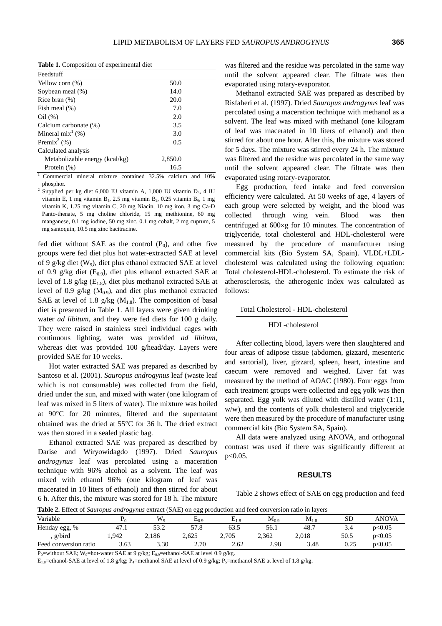**Table 1.** Composition of experimental diet

| Feedstuff                                       |         |            |
|-------------------------------------------------|---------|------------|
| Yellow corn $(\%)$                              | 50.0    |            |
| Soybean meal (%)                                | 14.0    |            |
| Rice bran $(\%)$                                | 20.0    |            |
| Fish meal $(\%)$                                | 7.0     |            |
| Oil(%)                                          | 2.0     |            |
| Calcium carbonate (%)                           | 3.5     |            |
| Mineral $mix^1$ (%)                             | 3.0     |            |
| Premix <sup>2</sup> $(\% )$                     | 0.5     |            |
| Calculated analysis                             |         |            |
| Metabolizable energy (kcal/kg)                  | 2,850.0 |            |
| Protein $(\%)$                                  | 16.5    |            |
| $Commarcial$ mineral mixture contained $32.5\%$ | colojum | and $10\%$ |

16.5 1 Commercial mineral mixture contained 32.5% calcium and 10% phosphor.  $\overline{2}$ 

Supplied per kg diet 6,000 IU vitamin A, 1,000 IU vitamin  $D_3$ , 4 IU vitamin E, 1 mg vitamin B<sub>1</sub>, 2.5 mg vitamin B<sub>2</sub>, 0.25 vitamin B<sub>6</sub>, 1 mg vitamin K, 1.25 mg vitamin C, 20 mg Niacin, 10 mg iron, 3 mg Ca-D Panto-thenate, 5 mg choline chloride, 15 mg methionine, 60 mg manganese, 0.1 mg iodine, 50 mg zinc, 0.1 mg cobalt, 2 mg cuprum, 5 mg santoquin, 10.5 mg zinc bacitracine.

fed diet without SAE as the control  $(P_0)$ , and other five groups were fed diet plus hot water-extracted SAE at level of 9 g/kg diet  $(W_9)$ , diet plus ethanol extracted SAE at level of 0.9 g/kg diet  $(E_{0.9})$ , diet plus ethanol extracted SAE at level of 1.8 g/kg  $(E_{1.8})$ , diet plus methanol extracted SAE at level of 0.9 g/kg  $(M<sub>0.9</sub>)$ , and diet plus methanol extracted SAE at level of 1.8 g/kg  $(M_{1.8})$ . The composition of basal diet is presented in Table 1. All layers were given drinking water *ad libitum*, and they were fed diets for 100 g daily. They were raised in stainless steel individual cages with continuous lighting, water was provided *ad libitum*, whereas diet was provided 100 g/head/day. Layers were provided SAE for 10 weeks.

Hot water extracted SAE was prepared as described by Santoso et al. (2001). *Sauropus androgynus* leaf (waste leaf which is not consumable) was collected from the field, dried under the sun, and mixed with water (one kilogram of leaf was mixed in 5 liters of water). The mixture was boiled at 90°C for 20 minutes, filtered and the supernatant obtained was the dried at 55°C for 36 h. The dried extract was then stored in a sealed plastic bag.

Ethanol extracted SAE was prepared as described by Darise and Wiryowidagdo (1997). Dried *Sauropus androgynus* leaf was percolated using a maceration technique with 96% alcohol as a solvent. The leaf was mixed with ethanol 96% (one kilogram of leaf was macerated in 10 liters of ethanol) and then stirred for about 6 h. After this, the mixture was stored for 18 h. The mixture was filtered and the residue was percolated in the same way until the solvent appeared clear. The filtrate was then evaporated using rotary-evaporator.

Methanol extracted SAE was prepared as described by Risfaheri et al. (1997). Dried *Sauropus androgynus* leaf was percolated using a maceration technique with methanol as a solvent. The leaf was mixed with methanol (one kilogram of leaf was macerated in 10 liters of ethanol) and then stirred for about one hour. After this, the mixture was stored for 5 days. The mixture was stirred every 24 h. The mixture was filtered and the residue was percolated in the same way until the solvent appeared clear. The filtrate was then evaporated using rotary-evaporator.

Egg production, feed intake and feed conversion efficiency were calculated. At 50 weeks of age, 4 layers of each group were selected by weight, and the blood was collected through wing vein. Blood was then centrifuged at 600×g for 10 minutes. The concentration of triglyceride, total cholesterol and HDL-cholesterol were measured by the procedure of manufacturer using commercial kits (Bio System SA, Spain). VLDL+LDLcholesterol was calculated using the following equation: Total cholesterol-HDL-cholesterol. To estimate the risk of atherosclerosis, the atherogenic index was calculated as follows:

#### Total Cholesterol - HDL-cholesterol

#### HDL-cholesterol

After collecting blood, layers were then slaughtered and four areas of adipose tissue (abdomen, gizzard, mesenteric and sartorial), liver, gizzard, spleen, heart, intestine and caecum were removed and weighed. Liver fat was measured by the method of AOAC (1980). Four eggs from each treatment groups were collected and egg yolk was then separated. Egg yolk was diluted with distilled water (1:11, w/w), and the contents of yolk cholesterol and triglyceride were then measured by the procedure of manufacturer using commercial kits (Bio System SA, Spain).

All data were analyzed using ANOVA, and orthogonal contrast was used if there was significantly different at p<0.05.

## **RESULTS**

Table 2 shows effect of SAE on egg production and feed

**Table 2.** Effect of *Sauropus androgynus* extract (SAE) on egg production and feed conversion ratio in layers

|                       | .    | $\sigma$ <sub>c</sub> $\ldots$ $\ldots$ $\ldots$ $\ldots$ | -00       |            |           | ----      |           |        |
|-----------------------|------|-----------------------------------------------------------|-----------|------------|-----------|-----------|-----------|--------|
| Variable              |      | $W_{0}$                                                   | $E_{0.9}$ | Ē<br>$E_1$ | $M_{0.9}$ | $M_{1.8}$ | <b>SD</b> | ANOVA  |
| Henday egg, %         | 47.1 | 53.2                                                      | 57.8      | 63.5       | 56.1      | 48.7      | 3.4       | p<0.05 |
| g/bird                | ,942 | 2,186                                                     | 2.625     | 2,705      | 2.362     | 2,018     | 50.5      | p<0.05 |
| Feed conversion ratio | 3.63 | 3.30                                                      | 2.70      | 2.62       | 2.98      | 3.48      | 0.25      | p<0.05 |

 $P_0$ =without SAE; W<sub>9</sub>=hot-water SAE at 9 g/kg; E<sub>0.9</sub>=ethanol-SAE at level 0.9 g/kg.

 $E_{1.8}$ =ethanol-SAE at level of 1.8 g/kg; P<sub>4</sub>=methanol SAE at level of 0.9 g/kg; P<sub>5</sub>=methanol SAE at level of 1.8 g/kg.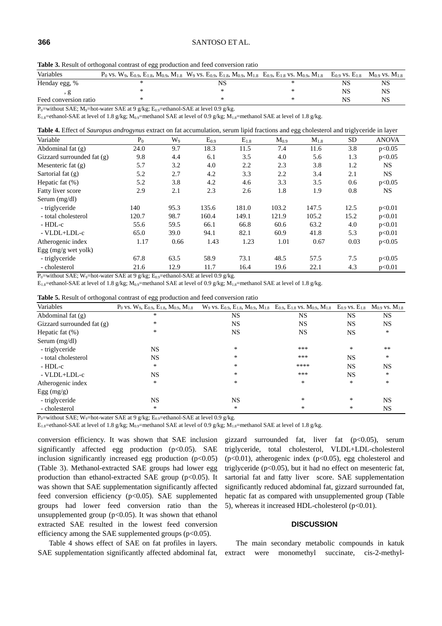#### **366** SANTOSO ET AL.

| Table 3. Result of orthogonal contrast of egg production and feed conversion ratio |  |  |  |  |
|------------------------------------------------------------------------------------|--|--|--|--|
|                                                                                    |  |  |  |  |

| Variables             | $P_0$ vs. $W_9$ , $E_{0.9}$ , $E_{1.8}$ , $M_{0.9}$ , $M_{1.8}$ $W_9$ vs. $E_{0.9}$ , $E_{1.8}$ , $M_{0.9}$ , $M_{1.8}$ $E_{0.9}$ , $E_{1.8}$ vs. $M_{0.9}$ , $M_{1.8}$ |  | $E_{0.9}$ vs. $E_{1.8}$ | $M_{0.9}$ vs. $M_{1.8}$ |
|-----------------------|-------------------------------------------------------------------------------------------------------------------------------------------------------------------------|--|-------------------------|-------------------------|
| Henday egg, %         |                                                                                                                                                                         |  | NS                      |                         |
|                       |                                                                                                                                                                         |  |                         |                         |
| Feed conversion ratio |                                                                                                                                                                         |  |                         |                         |

P<sub>0</sub>=without SAE; M<sub>9</sub>=hot-water SAE at 9 g/kg; E<sub>0.9</sub>=ethanol-SAE at level 0.9 g/kg.

 $E_{1.8}$ =ethanol-SAE at level of 1.8 g/kg;  $M_{0.9}$ =methanol SAE at level of 0.9 g/kg;  $M_{1.8}$ =methanol SAE at level of 1.8 g/kg.

|  |  |  |  |  |  |  | Table 4. Effect of Sauropus androgynus extract on fat accumulation, serum lipid fractions and egg cholesterol and triglyceride in layer |  |
|--|--|--|--|--|--|--|-----------------------------------------------------------------------------------------------------------------------------------------|--|
|--|--|--|--|--|--|--|-----------------------------------------------------------------------------------------------------------------------------------------|--|

| Variable                                 | $P_0$ | $W_{9}$ | $\mathrm{E_{0.9}}$ | $E_{1.8}$ | $M_{0.9}$ | $M_{1.8}$ | SD   | <b>ANOVA</b> |
|------------------------------------------|-------|---------|--------------------|-----------|-----------|-----------|------|--------------|
| Abdominal fat $(g)$                      | 24.0  | 9.7     | 18.3               | 11.5      | 7.4       | 11.6      | 3.8  | p<0.05       |
| Gizzard surrounded fat $(g)$             | 9.8   | 4.4     | 6.1                | 3.5       | 4.0       | 5.6       | 1.3  | p<0.05       |
| Mesenteric fat $(g)$                     | 5.7   | 3.2     | 4.0                | 2.2       | 2.3       | 3.8       | 1.2  | NS.          |
| Sartorial fat $(g)$                      | 5.2   | 2.7     | 4.2                | 3.3       | 2.2       | 3.4       | 2.1  | NS.          |
| Hepatic fat $(\%)$                       | 5.2   | 3.8     | 4.2                | 4.6       | 3.3       | 3.5       | 0.6  | p<0.05       |
| Fatty liver score                        | 2.9   | 2.1     | 2.3                | 2.6       | 1.8       | 1.9       | 0.8  | <b>NS</b>    |
| Serum $(mg/dl)$                          |       |         |                    |           |           |           |      |              |
| - triglyceride                           | 140   | 95.3    | 135.6              | 181.0     | 103.2     | 147.5     | 12.5 | p<0.01       |
| - total cholesterol                      | 120.7 | 98.7    | 160.4              | 149.1     | 121.9     | 105.2     | 15.2 | p<0.01       |
| - HDL-c                                  | 55.6  | 59.5    | 66.1               | 66.8      | 60.6      | 63.2      | 4.0  | p<0.01       |
| - VLDL+LDL-c                             | 65.0  | 39.0    | 94.1               | 82.1      | 60.9      | 41.8      | 5.3  | p<0.01       |
| Atherogenic index                        | 1.17  | 0.66    | 1.43               | 1.23      | 1.01      | 0.67      | 0.03 | p<0.05       |
| Egg $(mg/g$ wet yolk)                    |       |         |                    |           |           |           |      |              |
| - triglyceride                           | 67.8  | 63.5    | 58.9               | 73.1      | 48.5      | 57.5      | 7.5  | p<0.05       |
| - cholesterol<br><b>D</b> $110011$ $011$ | 21.6  | 12.9    | 11.7               | 16.4      | 19.6      | 22.1      | 4.3  | p<0.01       |

 $P_0$ =without SAE; W<sub>9</sub>=hot-water SAE at 9 g/kg; E<sub>0.9</sub>=ethanol-SAE at level 0.9 g/kg.

 $E_{1.8}$ =ethanol-SAE at level of 1.8 g/kg;  $M_{0.9}$ =methanol SAE at level of 0.9 g/kg;  $M_{1.8}$ =methanol SAE at level of 1.8 g/kg.

| Variables                  | $P_0$ vs. $W_9$ , $E_{0.9}$ , $E_{1.8}$ , $M_{0.9}$ , $M_{1.8}$ | $W_9$ vs. $E_{0.9}$ , $E_{1.8}$ , $M_{0.9}$ , $M_{1.8}$ $E_{0.9}$ , $E_{1.8}$ vs. $M_{0.9}$ , $M_{1.8}$ $E_{0.9}$ vs. $E_{1.8}$ |           |           | $M_{0.9}$ vs. $M_{1.8}$ |
|----------------------------|-----------------------------------------------------------------|---------------------------------------------------------------------------------------------------------------------------------|-----------|-----------|-------------------------|
| Abdominal fat $(g)$        | *                                                               | NS                                                                                                                              | <b>NS</b> | NS        | <b>NS</b>               |
| Gizzard surrounded fat (g) | *                                                               | <b>NS</b>                                                                                                                       | <b>NS</b> | <b>NS</b> | NS                      |
| Hepatic fat $(\%)$         | *                                                               | <b>NS</b>                                                                                                                       | <b>NS</b> | <b>NS</b> | *                       |
| Serum (mg/dl)              |                                                                 |                                                                                                                                 |           |           |                         |
| - triglyceride             | <b>NS</b>                                                       | $\ast$                                                                                                                          | ***       | *         | $**$                    |
| - total cholesterol        | <b>NS</b>                                                       | $\ast$                                                                                                                          | ***       | <b>NS</b> | *                       |
| - HDL-c                    | *                                                               | $\ast$                                                                                                                          | ****      | <b>NS</b> | NS                      |
| - VLDL+LDL-c               | NS                                                              | *                                                                                                                               | ***       | NS        | ∗                       |
| Atherogenic index          | *                                                               | $\ast$                                                                                                                          | *         | *         | *                       |
| Egg $(mg/g)$               |                                                                 |                                                                                                                                 |           |           |                         |
| - triglyceride             | NS                                                              | NS                                                                                                                              | *         | *         | NS                      |
| - cholesterol              | *                                                               | $\ast$                                                                                                                          | *         | *         | NS                      |

 $P_0$ =without SAE; W<sub>9</sub>=hot-water SAE at 9 g/kg; E<sub>0.9</sub>=ethanol-SAE at level 0.9 g/kg.

 $E_{1.8}$ =ethanol-SAE at level of 1.8 g/kg;  $M_{0.9}$ =methanol SAE at level of 0.9 g/kg;  $M_{1.8}$ =methanol SAE at level of 1.8 g/kg.

conversion efficiency. It was shown that SAE inclusion significantly affected egg production (p<0.05). SAE inclusion significantly increased egg production  $(p<0.05)$ (Table 3). Methanol-extracted SAE groups had lower egg production than ethanol-extracted SAE group  $(p<0.05)$ . It was shown that SAE supplementation significantly affected feed conversion efficiency (p<0.05). SAE supplemented groups had lower feed conversion ratio than the unsupplemented group ( $p<0.05$ ). It was shown that ethanol extracted SAE resulted in the lowest feed conversion efficiency among the SAE supplemented groups  $(p<0.05)$ .

Table 4 shows effect of SAE on fat profiles in layers. SAE supplementation significantly affected abdominal fat,

gizzard surrounded fat, liver fat  $(p<0.05)$ , serum triglyceride, total cholesterol, VLDL+LDL-cholesterol ( $p<0.01$ ), atherogenic index ( $p<0.05$ ), egg cholesterol and triglyceride (p<0.05), but it had no effect on mesenteric fat, sartorial fat and fatty liver score. SAE supplementation significantly reduced abdominal fat, gizzard surrounded fat, hepatic fat as compared with unsupplemented group (Table 5), whereas it increased HDL-cholesterol  $(p<0.01)$ .

# **DISCUSSION**

The main secondary metabolic compounds in katuk extract were monomethyl succinate, cis-2-methyl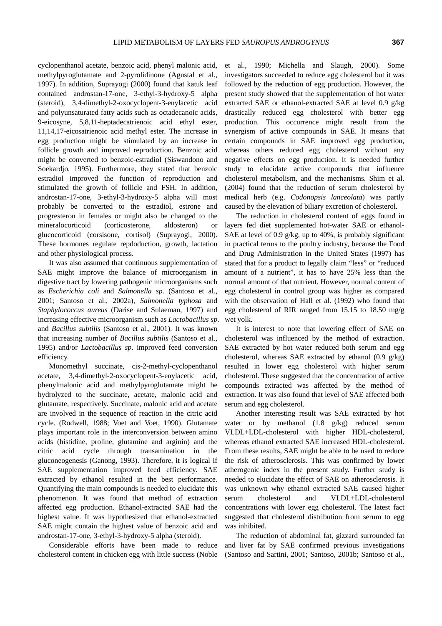cyclopenthanol acetate, benzoic acid, phenyl malonic acid, methylpyroglutamate and 2-pyrolidinone (Agustal et al., 1997). In addition, Suprayogi (2000) found that katuk leaf contained androstan-17-one, 3-ethyl-3-hydroxy-5 alpha (steroid), 3,4-dimethyl-2-oxocyclopent-3-enylacetic acid and polyunsaturated fatty acids such as octadecanoic acids, 9-eicosyne, 5,8,11-heptadecatrienoic acid ethyl ester, 11,14,17-eicosatrienoic acid methyl ester. The increase in egg production might be stimulated by an increase in follicle growth and improved reproduction. Benzoic acid might be converted to benzoic-estradiol (Siswandono and Soekardio, 1995). Furthermore, they stated that benzoic estradiol improved the function of reproduction and stimulated the growth of follicle and FSH. In addition, androstan-17-one, 3-ethyl-3-hydroxy-5 alpha will most probably be converted to the estradiol, estrone and progresteron in females or might also be changed to the mineralocorticoid (corticosterone, aldosteron) or glucocorticoid (corsisone, cortisol) (Suprayogi, 2000). These hormones regulate repdoduction, growth, lactation and other physiological process.

It was also assumed that continuous supplementation of SAE might improve the balance of microorganism in digestive tract by lowering pathogenic microorganisms such as *Escherichia coli* and *Salmonella sp*. (Santoso et al., 2001; Santoso et al., 2002a), *Salmonella typhosa* and *Staphylococcus aureus* (Darise and Sulaeman, 1997) and increasing effective microorganism such as *Lactobacillus sp*. and *Bacillus subtilis* (Santoso et al., 2001). It was known that increasing number of *Bacillus subtilis* (Santoso et al., 1995) and/or *Lactobacillus sp*. improved feed conversion efficiency.

Monomethyl succinate, cis-2-methyl-cyclopenthanol acetate, 3,4-dimethyl-2-oxocyclopent-3-enylacetic acid, phenylmalonic acid and methylpyroglutamate might be hydrolyzed to the succinate, acetate, malonic acid and glutamate, respectively. Succinate, malonic acid and acetate are involved in the sequence of reaction in the citric acid cycle. (Rodwell, 1988; Voet and Voet, 1990). Glutamate plays important role in the interconversion between amino acids (histidine, proline, glutamine and arginin) and the citric acid cycle through transamination in the gluconeogenesis (Ganong, 1993). Therefore, it is logical if SAE supplementation improved feed efficiency. SAE extracted by ethanol resulted in the best performance. Quantifying the main compounds is needed to elucidate this phenomenon. It was found that method of extraction affected egg production. Ethanol-extracted SAE had the highest value. It was hypothesized that ethanol-extracted SAE might contain the highest value of benzoic acid and androstan-17-one, 3-ethyl-3-hydroxy-5 alpha (steroid).

Considerable efforts have been made to reduce cholesterol content in chicken egg with little success (Noble et al., 1990; Michella and Slaugh, 2000). Some investigators succeeded to reduce egg cholesterol but it was followed by the reduction of egg production. However, the present study showed that the supplementation of hot water extracted SAE or ethanol-extracted SAE at level 0.9 g/kg drastically reduced egg cholesterol with better egg production. This occurrence might result from the synergism of active compounds in SAE. It means that certain compounds in SAE improved egg production, whereas others reduced egg cholesterol without any negative effects on egg production. It is needed further study to elucidate active compounds that influence cholesterol metabolism, and the mechanisms. Shim et al. (2004) found that the reduction of serum cholesterol by medical herb (e.g. *Codonopsis lanceolata*) was partly caused by the elevation of biliary excretion of cholesterol.

The reduction in cholesterol content of eggs found in layers fed diet supplemented hot-water SAE or ethanol-SAE at level of 0.9 g/kg, up to 40%, is probably significant in practical terms to the poultry industry, because the Food and Drug Administration in the United States (1997) has stated that for a product to legally claim "less" or "reduced amount of a nutrient", it has to have 25% less than the normal amount of that nutrient. However, normal content of egg cholesterol in control group was higher as compared with the observation of Hall et al. (1992) who found that egg cholesterol of RIR ranged from 15.15 to 18.50 mg/g wet yolk.

It is interest to note that lowering effect of SAE on cholesterol was influenced by the method of extraction. SAE extracted by hot water reduced both serum and egg cholesterol, whereas SAE extracted by ethanol  $(0.9 \text{ g/kg})$ resulted in lower egg cholesterol with higher serum cholesterol. These suggested that the concentration of active compounds extracted was affected by the method of extraction. It was also found that level of SAE affected both serum and egg cholesterol.

Another interesting result was SAE extracted by hot water or by methanol (1.8 g/kg) reduced serum VLDL+LDL-cholesterol with higher HDL-cholesterol, whereas ethanol extracted SAE increased HDL-cholesterol. From these results, SAE might be able to be used to reduce the risk of atherosclerosis. This was confirmed by lower atherogenic index in the present study. Further study is needed to elucidate the effect of SAE on atherosclerosis. It was unknown why ethanol extracted SAE caused higher serum cholesterol and VLDL+LDL-cholesterol concentrations with lower egg cholesterol. The latest fact suggested that cholesterol distribution from serum to egg was inhibited.

The reduction of abdominal fat, gizzard surrounded fat and liver fat by SAE confirmed previous investigations (Santoso and Sartini, 2001; Santoso, 2001b; Santoso et al.,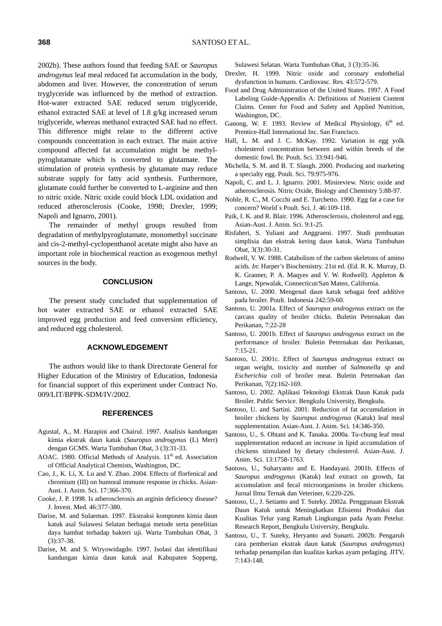2002b). These authors found that feeding SAE or *Sauropus androgynus* leaf meal reduced fat accumulation in the body, abdomen and liver. However, the concentration of serum tryglyceride was influenced by the method of extraction. Hot-water extracted SAE reduced serum triglyceride, ethanol extracted SAE at level of 1.8 g/kg increased serum triglyceride, whereas methanol extracted SAE had no effect. This difference might relate to the different active compounds concentration in each extract. The main active compound affected fat accumulation might be methylpyroglutamate which is converted to glutamate. The stimulation of protein synthesis by glutamate may reduce substrate supply for fatty acid synthesis. Furthermore, glutamate could further be converted to L-arginine and then to nitric oxide. Nitric oxide could block LDL oxidation and reduced atherosclerosis (Cooke, 1998; Drexler, 1999; Napoli and Ignarro, 2001).

The remainder of methyl groups resulted from degradation of methylpyroglutamate, monomethyl succinate and cis-2-methyl-cyclopenthanol acetate might also have an important role in biochemical reaction as exogenous methyl sources in the body.

# **CONCLUSION**

The present study concluded that supplementation of hot water extracted SAE or ethanol extracted SAE improved egg production and feed conversion efficiency, and reduced egg cholesterol.

### **ACKNOWLEDGEMENT**

The authors would like to thank Directorate General for Higher Education of the Ministry of Education, Indonesia for financial support of this experiment under Contract No. 009/LIT/BPPK-SDM/IV/2002.

# **REFERENCES**

- Agustal, A., M. Harapini and Chairul. 1997. Analisis kandungan kimia ekstrak daun katuk (*Sauropus androgynus* (L) Merr) dengan GCMS. Warta Tumbuhan Obat, 3 (3):31-33.
- AOAC. 1980. Official Methods of Analysis. 11<sup>st.</sup> ed. Association of Official Analytical Chemists, Washington, DC.
- Cao, J., K. Li, X. Lu and Y. Zhao. 2004. Effects of florfenical and chromium (III) on humoral immune response in chicks. Asian-Aust. J. Anim. Sci. 17:366-370.
- Cooke, J. P. 1998. Is atherosclerosis an arginin deficiency disease? J. Invest. Med. 46:377-380.
- Darise, M. and Sulaeman. 1997. Ekstraksi komponen kimia daun katuk asal Sulawesi Selatan berbagai metode serta penelitian daya hambat terhadap bakteri uji. Warta Tumbuhan Obat, 3 (3):37-38.
- Darise, M. and S. Wiryowidagdo. 1997. Isolasi dan identifikasi kandungan kimia daun katuk asal Kabupaten Soppeng,

Sulawesi Selatan. Warta Tumbuhan Obat, 3 (3):35-36.

- Drexler, H. 1999. Nitric oxide and coronary endothelial dysfunction in humans. Cardiovasc. Res. 43:572-579.
- Food and Drug Administration of the United States. 1997. A Food Labeling Guide-Appendix A: Definitions of Nutrient Content Claims. Center for Food and Safety and Applied Nutrition, Washington, DC.
- Ganong, W. F. 1993. Review of Medical Physiology, 6<sup>th</sup> ed. Prentice-Hall International Inc. San Francisco.
- Hall, L. M. and J. C. McKay. 1992. Variation in egg yolk cholesterol concentration between and within breeds of the domestic fowl. Br. Poult. Sci. 33:941-946.
- Michella, S. M. and B. T. Slaugh. 2000. Producing and marketing a specialty egg. Poult. Sci. 79:975-976.
- Napoli, C. and L. J. Ignarro. 2001. Minireview. Nitric oxide and atherosclerosis. Nitric Oxide, Biology and Chemistry 5:88-97.
- Noble, R. C., M. Cocchi and E. Turchetto. 1990. Egg fat a case for concern? World`s Poult. Sci. J. 46:109-118.
- Paik, I. K. and R. Blair. 1996. Atherosclerosis, cholesterol and egg. Asian-Aust. J. Anim. Sci. 9:1-25.
- Risfaheri, S. Yuliani and Anggraeni. 1997. Studi pembuatan simplisia dan ekstrak kering daun katuk. Warta Tumbuhan Obat, 3(3):30-31.
- Rodwell, V. W. 1988. Catabolism of the carbon skeletons of amino acids. *In*: Harper's Biochemistry. 21st ed. (Ed. R. K. Murray, D. K. Granner, P. A. Maqyes and V. W. Rodwell). Appleton & Lange, Nprwalak, Connecticut/San Mateo, California.
- Santoso, U. 2000. Mengenal daun katuk sebagai feed additive pada broiler. Poult. Indonesia 242:59-60.
- Santoso, U. 2001a. Effect of *Sauropus androgynus* extract on the carcass quality of broiler chicks. Buletin Peternakan dan Perikanan, 7:22-28
- Santoso, U. 2001b. Effect of *Sauropus androgynus* extract on the performance of broiler. Buletin Peternakan dan Perikanan, 7:15-21.
- Santoso, U. 2001c. Effect of *Sauropus androgynus* extract on organ weight, toxicity and number of *Salmonella sp* and *Escherichia coli* of broiler meat. Buletin Peternakan dan Perikanan, 7(2):162-169.
- Santoso, U. 2002. Aplikasi Teknologi Ekstrak Daun Katuk pada Broiler. Public Service. Bengkulu University, Bengkulu.
- Santoso, U. and Sartini. 2001. Reduction of fat accumulation in broiler chickens by *Sauropus androgynus* (Katuk) leaf meal supplementation. Asian-Aust. J. Anim. Sci. 14:346-350.
- Santoso, U., S. Ohtani and K. Tanaka. 2000a. Tu-chung leaf meal supplementation reduced an increase in lipid accumulation of chickens stimulated by dietary cholesterol. Asian-Aust. J. Anim. Sci. 13:1758-1763.
- Santoso, U., Suharyanto and E. Handayani. 2001b. Effects of *Sauropus androgynus* (Katuk) leaf extract on growth, fat accumulation and fecal microorganisms in broiler chickens. Jurnal Ilmu Ternak dan Veteriner, 6:220-226.
- Santoso, U., J. Setianto and T. Suteky. 2002a. Penggunaan Ekstrak Daun Katuk untuk Meningkatkan Efisiensi Produksi dan Kualitas Telur yang Ramah Lingkungan pada Ayam Petelur. Research Report, Bengkulu University, Bengkulu.
- Santoso, U., T. Suteky, Heryanto and Sunarti. 2002b. Pengaruh cara pemberian ekstrak daun katuk (*Sauropus androgynus*) terhadap penampilan dan kualitas karkas ayam pedaging. JITV, 7:143-148.